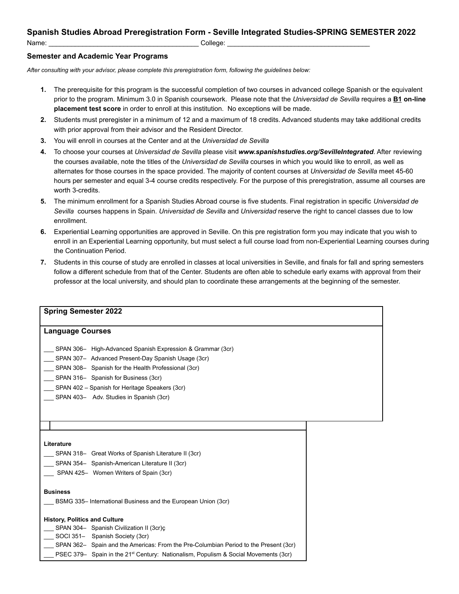## **Spanish Studies Abroad Preregistration Form - Seville Integrated Studies-SPRING SEMESTER 2022**

Name: \_\_\_\_\_\_\_\_\_\_\_\_\_\_\_\_\_\_\_\_\_\_\_\_\_\_\_\_\_\_\_\_\_\_\_\_\_\_\_\_ College: \_\_\_\_\_\_\_\_\_\_\_\_\_\_\_\_\_\_\_\_\_\_\_\_\_\_\_\_\_\_\_\_\_\_\_\_\_\_

## **Semester and Academic Year Programs**

*After consulting with your advisor, please complete this preregistration form, following the guidelines below:*

- **1.** The prerequisite for this program is the successful completion of two courses in advanced college Spanish or the equivalent prior to the program. Minimum 3.0 in Spanish coursework. Please note that the *Universidad de Sevilla* requires a **B1 on-line placement test score** in order to enroll at this institution. No exceptions will be made.
- **2.** Students must preregister in a minimum of 12 and a maximum of 18 credits. Advanced students may take additional credits with prior approval from their advisor and the Resident Director.
- **3.** You will enroll in courses at the Center and at the *Universidad de Sevilla*
- **4.** To choose your courses at *Universidad de Sevilla* please visit *www.spanishstudies.org/SevilleIntegrated*. After reviewing the courses available, note the titles of the *Universidad de Sevilla* courses in which you would like to enroll, as well as alternates for those courses in the space provided. The majority of content courses at *Universidad de Sevilla* meet 45-60 hours per semester and equal 3-4 course credits respectively. For the purpose of this preregistration, assume all courses are worth 3-credits.
- **5.** The minimum enrollment for a Spanish Studies Abroad course is five students. Final registration in specific *Universidad de Sevilla* courses happens in Spain. *Universidad de Sevilla* and *Universidad* reserve the right to cancel classes due to low enrollment.
- **6.** Experiential Learning opportunities are approved in Seville. On this pre registration form you may indicate that you wish to enroll in an Experiential Learning opportunity, but must select a full course load from non-Experiential Learning courses during the Continuation Period.
- **7.** Students in this course of study are enrolled in classes at local universities in Seville, and finals for fall and spring semesters follow a different schedule from that of the Center. Students are often able to schedule early exams with approval from their professor at the local university, and should plan to coordinate these arrangements at the beginning of the semester.

| <b>Spring Semester 2022</b>                                                                                        |  |
|--------------------------------------------------------------------------------------------------------------------|--|
| <b>Language Courses</b>                                                                                            |  |
| SPAN 306- High-Advanced Spanish Expression & Grammar (3cr)<br>_ SPAN 307- Advanced Present-Day Spanish Usage (3cr) |  |
| SPAN 308- Spanish for the Health Professional (3cr)                                                                |  |
| SPAN 316- Spanish for Business (3cr)                                                                               |  |
| SPAN 402 – Spanish for Heritage Speakers (3cr)                                                                     |  |
| SPAN 403- Adv. Studies in Spanish (3cr)                                                                            |  |
|                                                                                                                    |  |
|                                                                                                                    |  |
|                                                                                                                    |  |
| Literature                                                                                                         |  |
| SPAN 318- Great Works of Spanish Literature II (3cr)                                                               |  |
| SPAN 354- Spanish-American Literature II (3cr)                                                                     |  |
| SPAN 425- Women Writers of Spain (3cr)                                                                             |  |
|                                                                                                                    |  |
| <b>Business</b>                                                                                                    |  |
| BSMG 335-International Business and the European Union (3cr)                                                       |  |
|                                                                                                                    |  |
| <b>History, Politics and Culture</b>                                                                               |  |
| SPAN 304- Spanish Civilization II (3cr)c<br>SOCI 351- Spanish Society (3cr)                                        |  |
| SPAN 362- Spain and the Americas: From the Pre-Columbian Period to the Present (3cr)                               |  |
| PSEC 379- Spain in the 21 <sup>st</sup> Century: Nationalism, Populism & Social Movements (3cr)                    |  |
|                                                                                                                    |  |